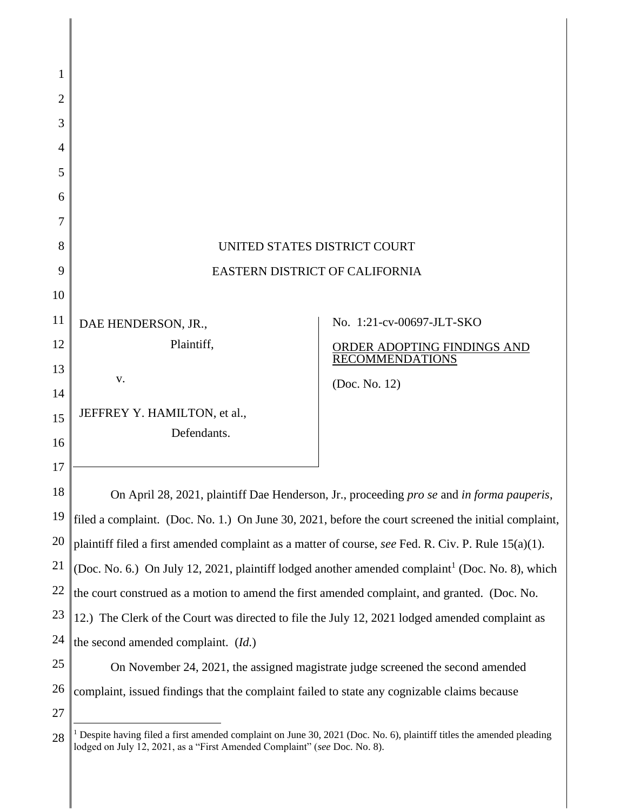| 1              |                                                                                                                                                                                                               |                             |
|----------------|---------------------------------------------------------------------------------------------------------------------------------------------------------------------------------------------------------------|-----------------------------|
| 2              |                                                                                                                                                                                                               |                             |
| 3              |                                                                                                                                                                                                               |                             |
| $\overline{A}$ |                                                                                                                                                                                                               |                             |
| 5              |                                                                                                                                                                                                               |                             |
| 6              |                                                                                                                                                                                                               |                             |
| 7              |                                                                                                                                                                                                               |                             |
| 8              | UNITED STATES DISTRICT COURT                                                                                                                                                                                  |                             |
| 9              | <b>EASTERN DISTRICT OF CALIFORNIA</b>                                                                                                                                                                         |                             |
| 10             |                                                                                                                                                                                                               |                             |
| 11             | DAE HENDERSON, JR.,                                                                                                                                                                                           | No. 1:21-cv-00697-JLT-SKO   |
| 12             | Plaintiff,                                                                                                                                                                                                    | ORDER ADOPTING FINDINGS AND |
| 13             | V.                                                                                                                                                                                                            | <b>RECOMMENDATIONS</b>      |
| 14             |                                                                                                                                                                                                               | (Doc. No. 12)               |
| 15             | JEFFREY Y. HAMILTON, et al.,                                                                                                                                                                                  |                             |
| 16             | Defendants.                                                                                                                                                                                                   |                             |
| 17             |                                                                                                                                                                                                               |                             |
| 18             | On April 28, 2021, plaintiff Dae Henderson, Jr., proceeding pro se and in forma pauperis,                                                                                                                     |                             |
| 19             | filed a complaint. (Doc. No. 1.) On June 30, 2021, before the court screened the initial complaint,                                                                                                           |                             |
| 20             | plaintiff filed a first amended complaint as a matter of course, see Fed. R. Civ. P. Rule 15(a)(1).                                                                                                           |                             |
| 21             | (Doc. No. 6.) On July 12, 2021, plaintiff lodged another amended complaint <sup>1</sup> (Doc. No. 8), which                                                                                                   |                             |
| 22             | the court construed as a motion to amend the first amended complaint, and granted. (Doc. No.                                                                                                                  |                             |
| 23             | 12.) The Clerk of the Court was directed to file the July 12, 2021 lodged amended complaint as                                                                                                                |                             |
| 24             | the second amended complaint. (Id.)                                                                                                                                                                           |                             |
| 25             | On November 24, 2021, the assigned magistrate judge screened the second amended                                                                                                                               |                             |
| 26             | complaint, issued findings that the complaint failed to state any cognizable claims because                                                                                                                   |                             |
| 27             |                                                                                                                                                                                                               |                             |
| 28             | <sup>1</sup> Despite having filed a first amended complaint on June 30, 2021 (Doc. No. 6), plaintiff titles the amended pleading<br>lodged on July 12, 2021, as a "First Amended Complaint" (see Doc. No. 8). |                             |